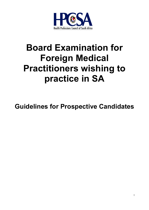

# **Board Examination for Foreign Medical Practitioners wishing to practice in SA**

**Guidelines for Prospective Candidates**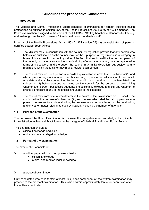# **Guidelines for prospective Candidates**

# **1. Introduction**

The Medical and Dental Professions Board conducts examinations for foreign qualified health professions as outlined in section 15A of the Health Professions Act No 56 of 1974 amended. The Board examination is aligned to the vision of the HPCSA in "Setting healthcare standards for training, and fostering compliance" to ensure "Quality healthcare standards for all".

In terms of the Health Professions Act No 56 of 1974 section 25(1-3) on registration of persons qualified outside South Africa:

- 1. The Minister may, in consultation with the council, by regulation provide that any person who holds such qualification as the council may, for the purpose of registration in a category in terms of this subsection, accept by virtue of the fact that such qualification, in the opinion of the council, indicates a satisfactory standard of professional education, may be registered in terms of this section, and thereupon the council may in its discretion, but subject to any regulations which the Minister may make, register such person.
- 2. The council may require a person who holds a qualification referred to in subsection(1) and who applies for registration in terms of this section, to pass to the satisfaction of the council, on a date and at a place determined by the council, an evaluation contemplated in subsection (3) before persons appointed by the council, for the purpose of determining whether such person possesses adequate professional knowledge and skill and whether he or she is proficient in any of the official languages of the Republic.
- 3. The council may from time to time determine the nature of the evaluation which shall be conducted for the purpose of subsection (2), and the fees which shall be paid by persons who present themselves for such evaluation, the requirements for admission to the evaluation, and any other matter relating to such evaluation, including the number of attempts.

## **1.1 Purpose of the examination**

The purpose of the Board Examination is to assess the competence and knowledge of applicants for registration as Medical Practitioners in the category of Medical Practitioner, Public Service.

The Examination evaluates:

- clinical knowledge and skills  $\bullet$
- ethical and medico-legal knowledge  $\bullet$

# **1.2 Format of the examination**

The examination consists of:

- $\triangleright$  a written paper with two components, testing:
	- clinical knowledge
	- ethical and medico-legal knowledge.

## $\triangleright$  a practical examination

Only candidates who pass (obtain at least 50%) each component of, the written examination may proceed to the practical examination. This is held within approximately ten to fourteen days aftet the written examination.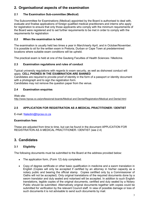# **2. Organisational aspects of the examination**

# **2.1 The Examination Sub-committee (Medical)**

The Subcommittee for Examinations (Medical) appointed by the Board is authorised to deal with, evaluate and finalise applications of foreign qualified medical practitioners and interns who apply for registration to ensure that only those applicants who comply with the minimum requirements of the Board were registered and to set further requirements to be met in order to comply with the requirements for registration

# **2.2 When the examination is held**

The examination is usually held two times a year in March/early April, and in October/November. It is possible to sit for the written exam in Pretoria, Durban or Cape Town at predetermined locations where suitable exam conditions will be upheld.

The practical exam is held at one of the Gauteng Faculties of Health Sciences / Medicine.

# **2.3 Examination regulations and rules of conduct**

Typical university regulations with regards to exam security, as well as dishonest conduct will apply. **CELL PHONES IN THE EXAMINATION ARE BANNED**

Candidates are required to provide proof of identity in the form of a passport or identity document with a photograph and to sign the registration form.

Candidates may not remove the question paper from the venue.

# **2.4 Examination enquiries**

Web site: [http://www.hpcsa.co.za/professional-boards/Medical and Dental/Registration/Medical and Dental.html](http://www.hpcsa.co.za/professional-boards/Medical%20%20and%20%20Dental/Registration/Medical%20%20and%20%20Dental.html)

# **2.5 APPLICATION FOR REGISTRATION AS A MEDICAL PRACTITIONER / DENTIST**

E-mail: [Naledim@hpcsa.co.za](mailto:Naledim@hpcsa.co.za)

# **Examination fees**

These are adjusted from time to time, but can be found in the document APPLICATION FOR REGISTRATION AS A MEDICAL PRACTITIONER / DENTIST (see 2.4)

# **3. Candidates**

# **3.1 Eligibility**

The following documents must be submitted to the Board at the address provided below:

- The application form, (Form 12) duly completed.
- $\bullet$ Copy of degree certificate or other basic qualification in medicine and a sworn translation in English (Copies will only be accepted if certified by an attorney in his/her capacity as a notary public and bearing the official stamp. Copies certified only by a Commissioner of Oaths will not be accepted). Only original translations of the required documents done by a sworn translator and duly sealed and notarised will be accepted. In addition to such English translations, legible copies of the original documents, certified and duly sealed by a Notary Public should be submitted. Alternatively original documents together with copies could be submitted for verification by the relevant Council staff. In view of possible damage or loss of such documents it is not advisable to send such documents by mail.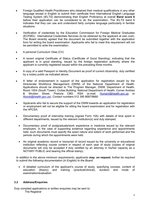- Foreign Qualified Health Practitioners who obtained their medical qualifications in any other language except in English to submit their certificate from International English Language Testing System (IELTS) demonstrating their English Proficiency at overall **Band score 6**  before their application can be considered to do the examination. The IELTS band 6 indicates that they can use and understand fairly complex language particularly in familiar situations
- Verification of credentials by the Education Commission for Foreign Medical Graduates (ECFMG): International Credentials Services (to be obtained by the applicant at own cost). The Board recently agreed that the document be submitted together with the application form for writing the board examination. Applicants who fail to meet this requirement will not be permitted to write the examination.
- A personal Curriculum Vitae (CV)
- A recent original Certificate of Status (Certificate of Good Standing), indicating that the  $\bullet$ applicant is in good standing, issued by the foreign registration authority where the applicant is currently registered issued within the preceding three months.
- A copy of a valid Passport or Identity Document as proof of current citizenship, duly certified by a notary public as indicated above.
- A letter of endorsement in support of the application for registration issued by the Directorate Workforce Management (DWM) of the National Department of Health. Applications should be directed to The Program Manager, DWM, Department of Health, Room 1004 (South Tower), Civitas Building, National Department of Health, Corner Andries & Struben Street, Pretoria CBD, RSA (e-mail: [HumanI@health.gov.za](mailto:HumanI@health.gov.za) or [Aboob@health.gov.za\)](mailto:Aboob@health.gov.za). Contact numbers 012 395 8687/8680
- Applicants who fail to secure the support of the DWM towards an application for registration  $\bullet$ or employment will not be eligible for sitting the board examination and for registration with the HPCSA.
- Documentary proof of internship training (signed Form 10A) with details of time spent in different departments, issued by the relevant institution(s) and duly stamped.
	- Documentary proof of postgraduate/work experience in medicine issued by the relevant  $\bullet$ employers. In the case of supporting evidence regarding experience and appointments held, such documents must specify the exact nature and extent of work performed and the periods during which the appointments were held.
	- An original academic record or transcript of record issued by the university or educational  $\bullet$ institution reflecting course content in respect of each year of study (copies of original documents will only be accepted if duly certified by an attorney in his/her capacity as a NOTARY PUBLIC and bearing the official stamp).

*In addition to the above minimum requirements, applicants may, on request, further be required to submit the following documentation (in English) to the Board:*

A detailed curriculum of the applicant's course of study, specifying courses, content of  $\bullet$ education (theory) and training (practical/clinical), duration and mode of examination/evaluation.

# **3.2 Address/Enquiries**

Duly compiled applications or written enquiries may be sent to: The Registrar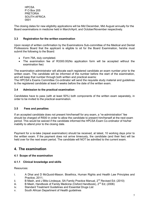**HPCSA** P O Box 205 PRETORIA SOUTH AFRICA 0001

The closing dates for new eligibility applications will be Mid December, Mid August annually for the Board examinations in medicine held in March/April, and October/November respectively.

# **3.3 Registration for the written examination**

Upon receipt of written confirmation by the Examinations Sub-committee of the Medical and Dental Professions Board that the applicant is eligible to sit for the Board Examination, he/she must submit the following to the Board:

- Form 79A, duly completed.
- The examination fee of R3300.00(No application form will be accepted without the examination fee)

The examination administrator will allocate each registered candidate an exam number prior to the written exam. The candidate will be informed of the number before the start of the examination, and will keep that number through both written and practical exams:

The HPCSA"s Exams Committee Co-ordinator will send the requisite study material and guidelines to the registered candidate at least 4 weeks before the date of the written exam.

## **3.4 Admission to the practical examination**

Candidates have to pass (with at least 50%) both components of the written exam separately, in order to be invited to the practical examination.

## **3.5 Fees and penalties**

If an accepted candidate does not present him/herself for any exam, a "re-administration" fee should be charged of R500 in order to allow the candidate to present him/herself at the next exam period. This would be waived if the candidate informed the HPCSA Exam Co-ordinator of his/her inability to attend prior to the closing date.

Payment for a re-take (repeat examination) should be received, at latest, 10 working days prior to the written exam. If the payment does not arrive timeously, the candidate (and their fee) will be held over for the next exam period. The candidate will NOT be admitted to the current exam.

# **4. The examination**

## **4.1 Scope of the examination**

## **4.1.1 Clinical knowledge and skills**

Resources:

- i. A Dhai and D McQuoid-Mason. Bioethics, Human Rights and Health Law Principles and Practice, 2011;
- ii. B Mash, and J Blitz-Lindeque, SA Family Practice Manual,  $2^{nd}$  Revised Ed; (2010)
- iii. B Mash, Handbook of Family Medicine (Oxford Handbook),  $2^{nd}$  Ed; (2006)
- iv. Standard Treatment Guidelines and Essential Drugs List
- v. South African Department of Health guidelines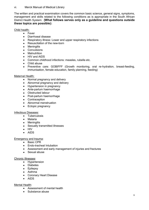# vi. Merck Manual of Medical Library

The written and practical examination covers the common basic science, general signs, symptoms, management and skills related to the following conditions as is appropriate in the South African District Health System: **(What follows serves only as a guideline and questions outside these topics are possible):**

# Child health:

- Fever
- Diarrhoeal disease
- $\bullet$ Respiratory illness: Lower and upper respiratory infections
- Resuscitation of the new-born
- **Meningitis**  $\bullet$
- **Convulsions**
- **Malnutrition**
- HIV and AIDS
- Common childhood infections: measles, rubella etc.
- $\bullet$ Child abuse
- Preventive care: GOBIFFF (Growth monitoring, oral re-hydration, breast-feeding,  $\bullet$ immunisation, female education, family planning, feeding)

# Maternal Health:

- $\bullet$ Normal pregnancy and delivery
- Abnormal pregnancy and delivery
- Hypertension in pregnancy
- Ante-partum haemorrhage
- Obstructed labour
- $\bullet$ Post-partum haemorrhage
- Contraception
- Abnormal menstruation
- Ectopic pregnancy

# Infectious Diseases:

- Tuberculosis
- Malaria
- Meningitis
- Sexually transmitted illnesses
- HIV
- AIDS

# Emergency and trauma:

- Basic CPR
- Endo-tracheal Intubation
- Assessment and early management of injuries and fractures
- Sexual abuse  $\bullet$

# Chronic Illnesses:

- Hypertension
- Diabetes
- Epilepsy
- Asthma
- Coronary Heart Disease
- AIDS

# Mental Health:

- $\bullet$ Assessment of mental health
- Substance abuse $\bullet$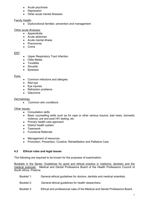- Acute psychosis
- Depression
- Other acute mental illnesses

# Family Health:

Dysfunctional families: prevention and management

## Other acute illnesses:

- Appendicitis
- Acute abdomen
- Acute mental illness
- Pneumonia
- Coma

## ENT:

- Upper Respiratory Tract Infection
- Otitis Media
- **Tonsillitis**  $\bullet$
- **Sinusitis**
- Epistaxis  $\bullet$

# Eyes:

- Common infections and allergies
- $\bullet$ Red eye
- Eye injuries
- Refraction problems
- Glaucoma  $\bullet$

# Dermatology

• Common skin conditions

## Other issues:

- Consultation skills  $\bullet$
- Basic counselling skills such as for rape or other serious trauma, bad news, domestic  $\bullet$ violence, pre and post HIV testing, etc
- $\bullet$ Primary health care approach
- District health system
- **Teamwork**
- Functional Referrals
- $\bullet$ Management of resources
- Promotion, Prevention, Curative, Rehabilitation and Palliative Care

# **4.2 Ethical rules and legal issues**

The following are required to be known for the purposes of examination:

Booklets in the Series "Guidelines for good and ethical practice in medicine, dentistry and the medical sciences'. Medical and Dental Professions Board of the Health Professions Council of South Africa. Pretoria.

- Booklet 1: General ethical guidelines for doctors, dentists and medical scientists.
- Booklet 2: General ethical guidelines for health researchers.
- Booklet 3: Ethical and professional rules of the Medical and Dental Professions Board.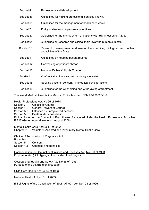Booklet 4: Professional self-development. Booklet 5: Guidelines for making professional services known. Booklet 6: Guidelines for the management of health care waste. Booklet 7: Policy statements on perverse incentives. Booklet 8: Guidelines for the management of patients with HIV infection or AIDS. Booklet 9: Guidelines on research and clinical trials involving human subjects. Booklet 10: Research, development and use of the chemical, biological and nuclear capabilities of the State. Booklet 11: Guidelines on keeping patient records. Booklet 12: Canvassing of patients abroad. Booklet 13: National Patients" Rights Charter. Booklet 14: Confidentiality: Protecting and providing information. Booklet 15: Seeking patients" consent: The ethical considerations. Booklet 16: Guidelines for the withholding and withdrawing of treatment

The World Medical Association Medical Ethics Manual ISBN 92-990028-1-9

Health Professions Act: No 56 of 1974

Section 3: Objects of Council Section 4: General Powers of Council Section 36: Offences by unregistered persons Section 56: Death under anaesthetic Ethical Rules for the Conduct of Practitioners Registered Under the Health Professions Act – No R.717 (Government Gazette – 4 August 2006)

Mental Health Care Act No 17 of 2002:

Chapter 5: Voluntary, Assisted and Involuntary Mental Health Care

Choice of Termination of Pregnancy Act Preamble Section 5: Consent

Section 10: Offences and penalties

Compensation for Occupational Injuries and Diseases Act: No 130 of 1993: Purpose of Act (Bold typing in the middle of first page.)

Occupational Health and Safety Act: No 85 of 1993 Purpose of the act (Bold on first page.)

Child Care Health Act No 74 of 1983

National Health Act No 61 of 2003:

Bill of Rights of the Constitution of South Africa – Act No 108 of 1996.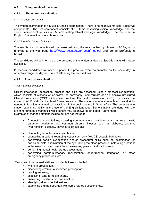# **4.3 Components of the exam**

# **4.3.1 The written examination**

#### *4.3.1.1 Length and format*

The written examination is a Multiple Choice examination. There is no negative marking. It has two components. The first component consists of 75 items assessing clinical knowledge, and the second component consists of 25 items testing ethical and legal knowledge. The test is set in English. Examination time is three hours.

#### *4.3.1.2 Making the results known*

The results should be obtained one week following the exam either by phoning HPCSA, or by referring to the web page <http://www.hpcsa.co.za/hpcsa/medical> and dental professions board

The candidates will be informed of the outcome of the written as deciles. Specific marks will not be available.

Successful candidates will need to phone the practical exam co-ordinator on the same day, in order to arrange the day and time of attending the practical exam.

## **4.3.2 Practical examination**

#### *4.3.2.1 Length and format*

Clinical knowledge, application, practice and skills are assessed using a practical examination, which consists of stations which follow the commonly used formats of an Objective Structured Clinical Examination (OSCE)/ Objective Structured Practical Examination (OSPE). It consists of a minimum of 13 stations of at least 5 minutes each. The stations assess a sample of clinical skills needed to function as a medical practitioner in the public service in South Africa. This excludes one station examining ability in the use of the English language. Some stations are done with the examiner present ("manned"), while others may be answered on paper ("unmanned"). Examples of manned stations include but are not limited to:

- Conducting consultations, covering common acute complaints such as sore throat,  $\bullet$ earache, headache, and common chronic illnesses such as diabetes, asthma, hypertension, epilepsy, psychiatric illness etc;
- Conducting an ante-natal consultation,  $\bullet$
- counselling a patient regarding issues such as HIV/AIDS, assault, bad news;
- performing certain examination and/or procedural skills such as examination of particular joints, examination of the eye, taking the blood pressure, instructing a patient in the use of a meter dose inhaler, assessing peak expiratory flow rate;
- performing mental health status assessment,
- performing cardio-pulmonary resuscitation, endo-tracheal intubation, or other emergency procedures, etc.

Examples of unmanned stations include, but are not limited to:

- writing a prescription,  $\bullet$
- discovering errors in a specimen prescription,  $\blacksquare$
- reading an X-ray,  $\bullet$
- assessing Road-to-health charts,
- answering questions on immunisation,
- identifying skin or genital lesions
- examining a urine specimen with some related questions, etc.